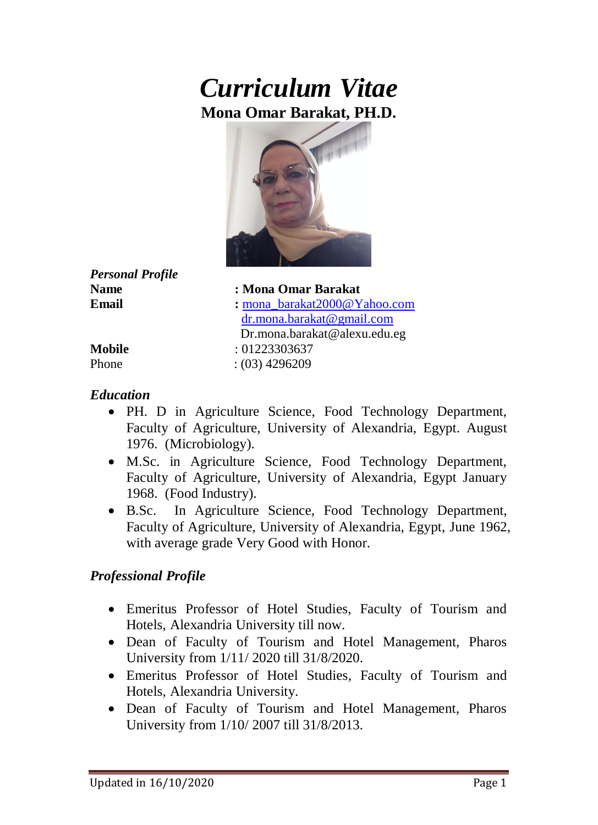# *Curriculum Vitae* **Mona Omar Barakat, PH.D.**



*Personal Profile*

**Name : Mona Omar Barakat Email :** [mona\\_barakat2000@Yahoo.com](mailto:mona%1F_barakat2000@Yahoo.com) [dr.mona.barakat@gmail.com](mailto:dr.mona.barakat@gmail.com) Dr.mona.barakat@alexu.edu.eg **Mobile** : 01223303637 Phone : (03) 4296209

#### *Education*

- PH. D in Agriculture Science, Food Technology Department, Faculty of Agriculture, University of Alexandria, Egypt. August 1976. (Microbiology).
- M.Sc. in Agriculture Science, Food Technology Department, Faculty of Agriculture, University of Alexandria, Egypt January 1968. (Food Industry).
- B.Sc. In Agriculture Science, Food Technology Department, Faculty of Agriculture, University of Alexandria, Egypt, June 1962, with average grade Very Good with Honor.

#### *Professional Profile*

- Emeritus Professor of Hotel Studies, Faculty of Tourism and Hotels, Alexandria University till now.
- Dean of Faculty of Tourism and Hotel Management, Pharos University from 1/11/ 2020 till 31/8/2020.
- Emeritus Professor of Hotel Studies, Faculty of Tourism and Hotels, Alexandria University.
- Dean of Faculty of Tourism and Hotel Management, Pharos University from 1/10/ 2007 till 31/8/2013.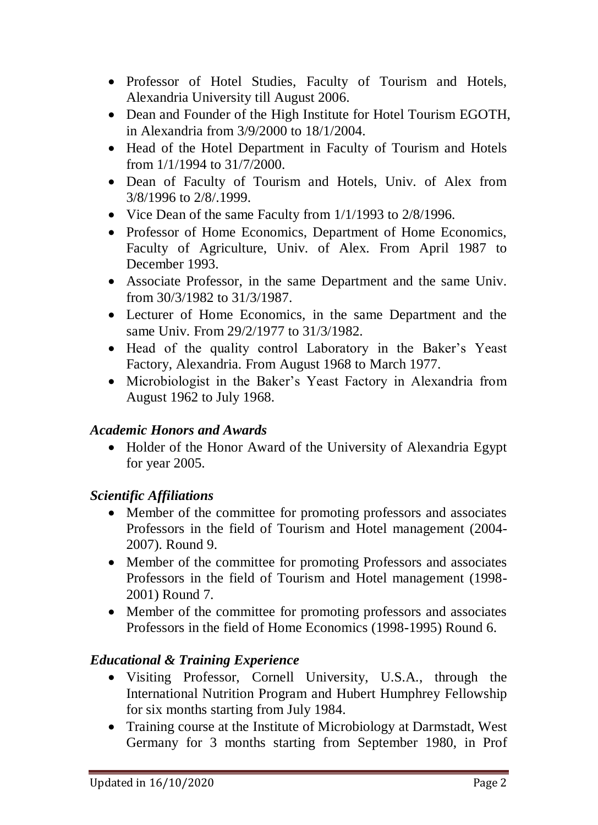- Professor of Hotel Studies, Faculty of Tourism and Hotels, Alexandria University till August 2006.
- Dean and Founder of the High Institute for Hotel Tourism EGOTH, in Alexandria from 3/9/2000 to 18/1/2004.
- Head of the Hotel Department in Faculty of Tourism and Hotels from 1/1/1994 to 31/7/2000.
- Dean of Faculty of Tourism and Hotels, Univ. of Alex from 3/8/1996 to 2/8/.1999.
- Vice Dean of the same Faculty from 1/1/1993 to 2/8/1996.
- Professor of Home Economics, Department of Home Economics, Faculty of Agriculture, Univ. of Alex. From April 1987 to December 1993.
- Associate Professor, in the same Department and the same Univ. from 30/3/1982 to 31/3/1987.
- Lecturer of Home Economics, in the same Department and the same Univ. From 29/2/1977 to 31/3/1982.
- Head of the quality control Laboratory in the Baker's Yeast Factory, Alexandria. From August 1968 to March 1977.
- Microbiologist in the Baker's Yeast Factory in Alexandria from August 1962 to July 1968.

# *Academic Honors and Awards*

• Holder of the Honor Award of the University of Alexandria Egypt for year 2005.

# *Scientific Affiliations*

- Member of the committee for promoting professors and associates Professors in the field of Tourism and Hotel management (2004- 2007). Round 9.
- Member of the committee for promoting Professors and associates Professors in the field of Tourism and Hotel management (1998- 2001) Round 7.
- Member of the committee for promoting professors and associates Professors in the field of Home Economics (1998-1995) Round 6.

# *Educational & Training Experience*

- Visiting Professor, Cornell University, U.S.A., through the International Nutrition Program and Hubert Humphrey Fellowship for six months starting from July 1984.
- Training course at the Institute of Microbiology at Darmstadt, West Germany for 3 months starting from September 1980, in Prof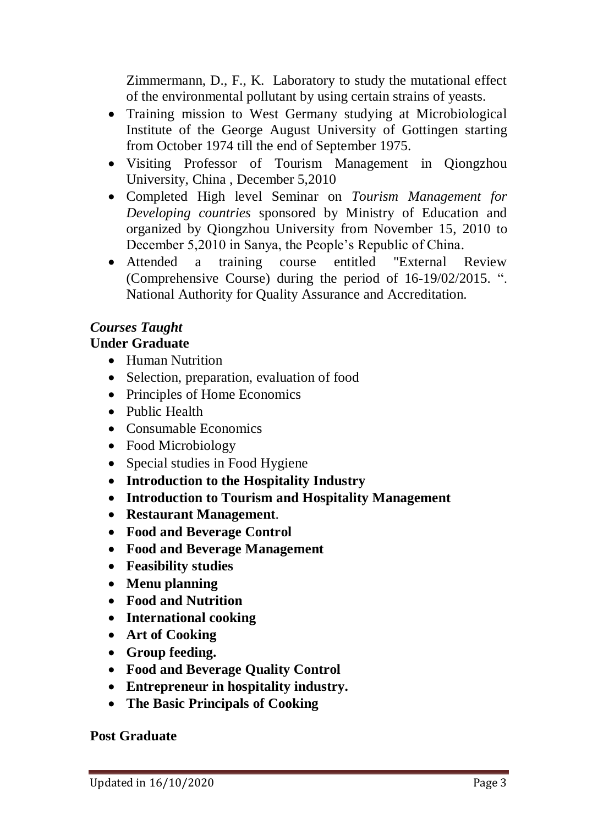Zimmermann, D., F., K. Laboratory to study the mutational effect of the environmental pollutant by using certain strains of yeasts.

- Training mission to West Germany studying at Microbiological Institute of the George August University of Gottingen starting from October 1974 till the end of September 1975.
- Visiting Professor of Tourism Management in Qiongzhou University, China , December 5,2010
- Completed High level Seminar on *Tourism Management for Developing countries* sponsored by Ministry of Education and organized by Qiongzhou University from November 15, 2010 to December 5,2010 in Sanya, the People's Republic of China.
- Attended a training course entitled "External Review (Comprehensive Course) during the period of 16-19/02/2015. ". National Authority for Quality Assurance and Accreditation.

# *Courses Taught*

#### **Under Graduate**

- Human Nutrition
- Selection, preparation, evaluation of food
- Principles of Home Economics
- Public Health
- Consumable Economics
- Food Microbiology
- Special studies in Food Hygiene
- **Introduction to the Hospitality Industry**
- **Introduction to Tourism and Hospitality Management**
- **Restaurant Management**.
- **Food and Beverage Control**
- **Food and Beverage Management**
- **Feasibility studies**
- **Menu planning**
- **Food and Nutrition**
- **International cooking**
- **Art of Cooking**
- **Group feeding.**
- **Food and Beverage Quality Control**
- **Entrepreneur in hospitality industry.**
- **The Basic Principals of Cooking**

#### **Post Graduate**